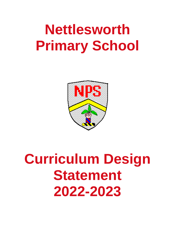# **Nettlesworth Primary School**



# **Curriculum Design Statement 2022-2023**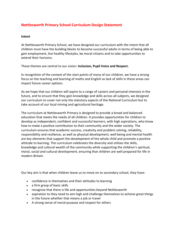# **Nettlesworth Primary School Curriculum Design Statement**

#### **Intent**

At Nettlesworth Primary School, we have designed our curriculum with the intent that all children must have the building blocks to become successful adults in terms of being able to gain employment, live healthy lifestyles, be moral citizens and to take opportunities to extend their horizons.

These themes are central to our vision: **Inclusion, Pupil Voice and Respect.**

In recognition of the context of the start points of many of our children, we have a strong focus on the teaching and learning of maths and English as lack of skills in these areas can impact future career options.

As we hope that our children will aspire to a range of careers and personal interests in the future, and to ensure that they gain knowledge and skills across all subjects, we designed our curriculum to cover not only the statutory aspects of the National Curriculum but to take account of our local mining and agricultural heritage.

The curriculum at Nettlesworth Primary is designed to provide a broad and balanced education that meets the needs of all children. It provides opportunities for children to develop as independent, confident and successful learners, with high aspirations, who know how to make a positive contribution to their community and the wider society. The curriculum ensures that academic success, creativity and problem solving, reliability, responsibility and resilience, as well as physical development, well-being and mental health are key elements that support the development of the whole child and promote a positive attitude to learning. The curriculum celebrates the diversity and utilises the skills, knowledge and cultural wealth of the community while supporting the children's spiritual, moral, social and cultural development, ensuring that children are well prepared for life in modern Britain.

Our key aim is that when children leave us to move on to secondary school, they have:

- confidence in themselves and their attitudes to learning
- a firm grasp of basic skills
- recognise that there is life and opportunities beyond Nettlesworth
- aspiration to they need to aim high and challenge themselves to achieve great things in the future whether that means a job or travel
- A strong sense of moral purpose and respect for others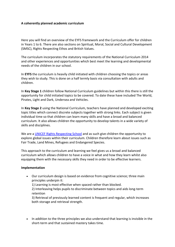#### **A coherently planned academic curriculum**

Here you will find an overview of the EYFS framework and the Curriculum offer for children in Years 1 to 6. There are also sections on Spiritual, Moral, Social and Cultural Development (SMSC), Rights Respecting Ethos and British Values.

The curriculum incorporates the statutory requirements of the National Curriculum 2014 and other experiences and opportunities which best meet the learning and developmental needs of the children in our school.

In **EYFS** the curriculum is heavily child initiated with children choosing the topics or areas they wish to study. This is done on a half termly basis via consultation with adults and children.

In **Key Stage 1** children follow National Curriculum guidelines but within this there is still the opportunity for child initiated topics to be covered. To date these have included The World, Pirates, Light and Dark, Undersea and Vehicles.

In **Key Stage 2** using the National Curriculum, teachers have planned and developed exciting topic titles which connect discrete subjects together with strong links. Each subject is given individual time so that children can learn many skills and have a broad and balanced curriculum. It also allows children the opportunity to develop talents in a wide variety of skills and disciplines.

We are a [UNICEF Rights Respecting School](http://www.nettlesworth.durham.sch.uk/pupils/rights-respecting-school/) and as such give children the opportunity to explore global issues within their curriculum. Children therefore learn about issues such as Fair Trade, Land Mines, Refugees and Endangered Species.

This approach to the curriculum and learning we feel gives us a broad and balanced curriculum which allows children to have a voice in what and how they learn whilst also equipping them with the necessary skills they need in order to be effective learners.

#### **Implementation**

 Our curriculum design is based on evidence from cognitive science; three main principles underpin it:

1) Learning is most effective when spaced rather than blocked.

2) Interleaving helps pupils to discriminate between topics and aids long-term retention

3) Retrieval of previously learned content is frequent and regular, which increases both storage and retrieval strength.

• In addition to the three principles we also understand that learning is invisible in the short-term and that sustained mastery takes time.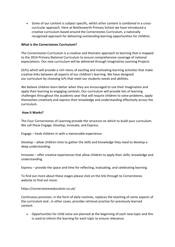• Some of our content is subject specific, whilst other content is combined in a crosscurricular approach. Here at Nettlesworth Primary School we have introduced a creative curriculum based around the Cornerstones Curriculum, a nationally recognised approach for delivering outstanding learning opportunities for children.

#### **What is the Cornerstones Curriculum?**

The Cornerstones Curriculum is a creative and thematic approach to learning that is mapped to the 2014 Primary National Curriculum to ensure comprehensive coverage of national expectations. Our new curriculum will be delivered through Imaginative Learning Projects

(ILPs) which will provide a rich menu of exciting and motivating learning activities that make creative links between all aspects of our children's learning. We have designed our curriculum by choosing ILPs that meet our students needs and abilities.

We believe children learn better when they are encouraged to use their imagination and apply their learning to engaging contexts. Our curriculum will provide lots of learning challenges throughout the academic year that will require children to solve problems, apply themselves creatively and express their knowledge and understanding effectively across the curriculum.

#### **How it Works?**

The Four Cornerstones of Learning provide the structure on which to build your curriculum. We call these Engage, Develop, Innovate, and Express.

Engage – hook children in with a memorable experience.

Develop – allow children time to gather the skills and knowledge they need to develop a deep understanding.

Innovate – offer creative experiences that allow children to apply their skills, knowledge and understanding.

Express – provide the space and time for reflecting, evaluating, and celebrating learning.

To find out more about these stages please click on the link through to Cornerstones website to find out more:

https://cornerstoneseducation.co.uk/

Continuous provision, in the form of daily routines, replaces the teaching of some aspects of the curriculum and , in other cases, provides retrieval practise for previously learned content.

 Opportunities for child voice are planned at the beginning of each new topic and this is used to inform the learning for each topic to ensure relevance.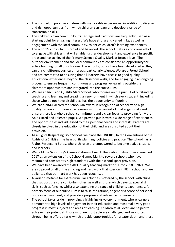- The curriculum provides children with memorable experiences, in addition to diverse and rich opportunities from which children can learn and develop a range of transferable skills.
- The children's own community, its heritage and traditions are frequently used as a starting point for engaging interest. We have strong and varied links, as well as engagement with the local community, to enrich children's learning experiences.
- The school's curriculum is broad and balanced. The school makes a conscious effort to engage with drives that will enable further development and excellence in specific areas and has achieved the Primary Science Quality Mark at Bronze level. The outdoor environment and the local community are considered an opportunity for active learning for all our children. The school grounds have been developed so they can enrich different curriculum areas, particularly science. We are a Forest School and are committed to ensuring that all learners have access to good quality educational experiences beyond the classroom walls, and for engaging in an ongoing process to ensure frequent, continuous and progressive learning outside the classroom opportunities are integrated into the curriculum.
- We are an **Inclusion Quality Mark** School, who focuses on the pursuit of outstanding teaching and learning and creating an environment in which every student, including those who do not have disabilities, has the opportunity to flourish.
- We are a **NACE** accredited school (an award in recognition of school-wide highquality provision for more able learners within a context of challenge for all) and ensure there is a whole school commitment and a clear focus to providing for More Able Gifted and Talented pupils. We provide pupils with a wide range of experiences and opportunities individualised to their personal needs and interests. Parents are closely involved in the education of their child and are consulted about their provision.
- As a Rights Respecting **Gold** School, we place the **UNCRC** (United Conventions of the Rights of a Child) at the heart of its planning, policies and practice. The school has a Rights Respecting Ethos, where children are empowered to become active citizens and learners.
- We hold the Sainsbury's Games Platinum Award. The Platinum Award was launched 2017 as an extension of the School Games Mark to reward schools who have maintained consistently high standards with their school sport provision.
- We have been awarded the AfPE quality teaching mark for PE for 2018 2021. We are so proud of all of the amazing and hard work that goes on in PE in school and are delighted that our hard work has been recognised.
- A varied timetable for extra-curricular activities is offered by the school, with clubs that support the core curriculum offer, as well as those which develop specialist skills, such as fencing, whilst also extending the range of children's experiences. A primary focus of our curriculum is to raise aspirations, engender a sense of personal pride in achievement, and provide a purpose and relevance for learning.
- The school takes pride in providing a highly inclusive environment, where learners demonstrate high levels of enjoyment in their education and most make very good progress in most subjects and areas of learning. Children at all levels are helped to achieve their potential. Those who are most able are challenged and supported through being offered tasks which provide opportunities for greater depth and those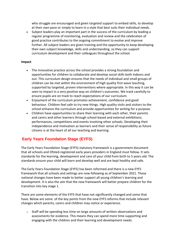who struggle are encouraged and given targeted support to embed skills, to develop at their own pace or simply to learn in a style that best suits their individual needs.

 Subject leaders play an important part in the success of the curriculum by leading a regular programme of monitoring, evaluation and review and the celebration of good practice contributes to the ongoing commitment to evolve and improve further. All subject leaders are given training and the opportunity to keep developing their own subject knowledge, skills and understanding, so they can support curriculum development and their colleagues throughout the school.

#### **Impact**

- The innovative practice across the school provides a strong foundation and opportunities for children to collaborate and develop social skills both indoors and out. This curriculum design ensures that the needs of individual and small groups of children can be met within the environment of high quality first wave teaching, supported by targeted, proven interventions where appropriate. In this way it can be seen to impact in a very positive way on children's outcomes. We track carefully to ensure pupils are on track to reach expectations of our curriculum.
- Enjoyment of the curriculum promotes achievement, confidence and good behaviour. Children feel safe to try new things. High quality visits and visitors to the school enhance the curriculum and provide opportunities for writing for a purpose.
- Children have opportunities to share their learning with each other, their parents and carers and other learners through school-based and external exhibitions, performances, competitions and events involving other schools. Developing their independence and motivation as learners and their sense of responsibility as future citizens is at the heart of all our teaching and learning.

# **Early Years Foundation Stage (EYFS)**

The Early Years Foundation Stage (EYFS) statutory framework is a government document that all schools and Ofsted-registered early years providers in England must follow. It sets standards for the learning, development and care of your child from birth to 5 years old. The standards ensure your child will learn and develop well and are kept healthy and safe.

The Early Years Foundation Stage (EYFS) has been reformed and there is a new EYFS framework that all schools and settings are now following as of September 2021. These national changes have been made to better support all young children's learning and development. It is also the aim that the new framework will better prepare children for the transition into key stage 1.

There are some elements of the EYFS that have not significantly changed and some that have. Below are some of the key points from the new EYFS reforms that include relevant changes which parents, carers and children may notice or experience.

 $\circ$  Staff will be spending less time on large amounts of written observations and assessments for evidence. This means they can spend more time supporting and engaging with the children and their learning and development needs.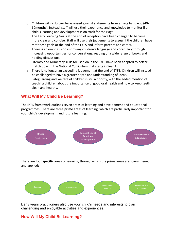- $\circ$  Children will no longer be assessed against statements from an age band e.g. (40-60months). Instead, staff will use their experience and knowledge to monitor if a child's learning and development is on track for their age.
- $\circ$  The Early Learning Goals at the end of reception have been changed to become more clear and concise. Staff will use their judgements to assess if the children have met these goals at the end of the EYFS and inform parents and carers.
- $\circ$  There is an emphasis on improving children's language and vocabulary through increasing opportunities for conversations, reading of a wide range of books and holding discussions.
- $\circ$  Literacy and Numeracy skills focused on in the EYFS have been adapted to better match up with the National Curriculum that starts in Year 1.
- o There is no longer an exceeding judgement at the end of EYFS. Children will instead be challenged to have a greater depth and understanding of ideas.
- o Safeguarding and welfare of children is still a priority, with the added mention of teaching children about the importance of good oral health and how to keep teeth clean and healthy.

# **What Will My Child Be Learning?**

The EYFS framework outlines seven areas of learning and development and educational programmes. There are three **prime** areas of learning, which are particularly important for your child's development and future learning:



There are four **specific** areas of learning, through which the prime areas are strengthened and applied:



Early years practitioners also use your child's needs and interests to plan challenging and enjoyable activities and experiences.

# **How Will My Child Be Learning?**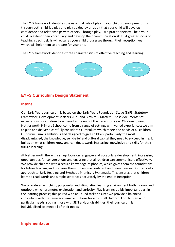The EYFS framework identifies the essential role of play in your child's development. It is through both child-led play and play guided by an adult that your child will develop confidence and relationships with others. Through play, EYFS practitioners will help your child to extend their vocabulary and develop their communication skills. A greater focus on teaching specific skills will occur as your child progresses through their reception year, which will help them to prepare for year one.

The EYFS framework identifies three characteristics of effective teaching and learning:



# **EYFS Curriculum Design Statement**

#### **Intent**

Our Early Years curriculum is based on the Early Years Foundation Stage (EYFS) Statutory Framework, Development Matters 2021 and Birth to 5 Matters. These documents set expectations for children to achieve by the end of the Reception year. Children joining Nettlesworth Primary School come from a range of settings with varied experiences; we aim to plan and deliver a carefully considered curriculum which meets the needs of all children. Our curriculum is ambitious and designed to give children, particularly the most disadvantaged, the knowledge, self-belief and cultural capital they need to succeed in life. It builds on what children know and can do, towards increasing knowledge and skills for their future learning.

At Nettlesworth there is a sharp focus on language and vocabulary development, increasing opportunities for conversations and ensuring that all children can communicate effectively. We provide children with a secure knowledge of phonics, which gives them the foundations for future learning and prepares them to become confident and fluent readers. Our school's approach to Early Reading and Synthetic Phonics is Systematic. This ensures that children learn to read words and simple sentences accurately by the end of Reception.

We provide an enriching, purposeful and stimulating learning environment both indoors and outdoors which promotes exploration and curiosity. Play is an incredibly important part in the learning process; this paired with adult-led tasks ensures we provide a balanced curriculum with the same academic ambitions for almost all children. For children with particular needs, such as those with SEN and/or disabilities, their curriculum is individualised to meet all of their needs.

#### **Implementation**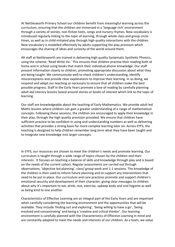At Nettlesworth Primary School our children benefit from meaningful learning across the curriculum, ensuring that the children are immersed in a 'language rich' environment through a variety of stories, non-fiction texts, songs and nursery rhymes. New vocabulary is introduced regularly linking to the topic of learning, through whole class and group circle times, as well as in child-initiated play through high quality interactions with the children. New vocabulary is modelled effectively by adults supporting the play provision which encourages the sharing of ideas and curiosity of the world around them.

All staff at Nettlesworth are trained in delivering high quality Systematic Synthetic Phonics, using the scheme; 'Read Write Inc.' This ensures that children practise their reading both at home and in school using books that match their individual phonic knowledge. Our staff present information clearly to children, promoting appropriate discussion about what they are being taught. We communicate well to check children's understanding, identify misconceptions and provide clear explanations to improve their learning. In so doing, we respond and adapt our teaching as necessary to ensure that all children make the best possible progress. Staff in the Early Years promote a love of reading by carefully planning adult-led Literacy lessons based around stories or books of interest which link to the topic of learning.

Our staff are knowledgeable about the teaching of Early Mathematics. We provide adult led Maths lessons where children can gain a greater understanding of a range of mathematical concepts. Following these sessions, the children are encouraged to apply their knowledge in their play; through the high quality provision provided. We ensure that children have sufficient practice to be confident in using and understanding numbers as well as delivering activities that provides a strong basis for more complex learning later on. Across EYFS, the teaching is designed to help children remember long term what they have been taught and to integrate new knowledge into larger concepts.

In EYFS, our resources are chosen to meet the children's needs and promote learning. Our curriculum is taught through a wide range of topics chosen by the children and their interests. It focuses on teaching a balance of skills and knowledge through play and is based on the needs of the current cohort. Regular assessments are carried out through observations, 'objective led planning', class/ group work and 1-1 sessions. The knowledge of the children is then used to inform future planning and to support any interventions that need to be put in place. Our curriculum and care practices promote and support children's emotional security and development of their character; giving clear messages to children about why it's important to eat, drink, rest, exercise, upkeep body and oral hygiene as well as being kind to one another.

Characteristics of Effective Learning are an integral part of the Early Years and are important when carefully considering the learning environment and the opportunities that will be available. They include 'finding out and exploring', 'being willing to have a go', 'being involved and concentrating' and being a 'creative and critical thinker'. Our learning environment is carefully planned with the Characteristics of Effective Learning in mind and are constantly adapted to meet the needs and interests of our children. As a team, we value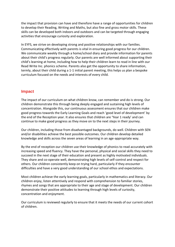the impact that provision can have and therefore have a range of opportunities for children to develop their Reading, Writing and Maths, but also fine and gross motor skills. These skills can be developed both indoors and outdoors and can be targeted through engaging activities that encourage curiosity and exploration.

In EYFS, we strive on developing strong and positive relationships with our families. Communicating effectively with parents is vital in ensuring good progress for our children. We communicate weekly through a home/school diary and provide information for parents about their child's progress regularly. Our parents are well informed about supporting their child's learning at home, including how to help their children learn to read in line with our Read Write Inc. phonics scheme. Parents also get the opportunity to share information, termly, about their child during a 1-1 initial parent meeting, this helps us plan a bespoke curriculum focused on the needs and interests of every child.

#### **Impact**

The impact of our curriculum on what children know, can remember and do is strong. Our children demonstrate this through being deeply engaged and sustaining high levels of concentration. Alongside this, our continuous assessment ensures that our children make good progress towards the Early Learning Goals and reach 'good level of development' by the end of the Reception year. It also ensures that children are 'Year 1 ready' and can continue to make good progress as they move on to the next steps in their journey.

Our children, including those from disadvantaged backgrounds, do well. Children with SEN and/or disabilities achieve the best possible outcomes. Our children develop detailed knowledge and skills across the seven areas of learning in an age-appropriate way.

By the end of reception our children use their knowledge of phonics to read accurately with increasing speed and fluency. They have the personal, physical and social skills they need to succeed in the next stage of their education and present as highly motivated individuals. They share and co-operate well, demonstrating high levels of self-control and respect for others. Our children consistently keep on trying hard, particularly if they encounter difficulties and have a very good understanding of our school ethos and expectations.

Most children achieve the early learning goals, particularly in mathematics and literacy. Our children enjoy, listen attentively and respond with comprehension to familiar stories, rhymes and songs that are appropriate to their age and stage of development. Our children demonstrate their positive attitudes to learning through high levels of curiosity, concentration and enjoyment.

Our curriculum is reviewed regularly to ensure that it meets the needs of our current cohort of children.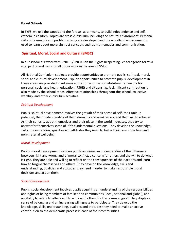#### **Forest Schools**

In EYFS, we use the woods and the forests, as a means, to build independence and self esteem in children. Topics are cross-curriculum including the natural environment. Personal skills of teamwork and problem solving are developed and the woodland environment is used to learn about more abstract concepts such as mathematics and communication.

### **Spiritual, Moral, Social and Cultural (SMSC)**

In our school our work with UNICEF/UNCRC on the Rights Respecting School agenda forms a vital part of and basis for all of our work in the area of SMSC.

All National Curriculum subjects provide opportunities to promote pupils' spiritual, moral, social and cultural development. Explicit opportunities to promote pupils' development in these areas are provided in religious education and the non-statutory framework for personal, social and health education (PSHE) and citizenship. A significant contribution is also made by the school ethos, effective relationships throughout the school, collective worship, and other curriculum activities.

#### *Spiritual Development*

Pupils' spiritual development involves the growth of their sense of self, their unique potential, their understanding of their strengths and weaknesses, and their will to achieve. As their curiosity about themselves and their place in the world increases, they try to answer for themselves some of life's fundamental questions. They develop the knowledge, skills, understanding, qualities and attitudes they need to foster their own inner lives and non-material wellbeing.

#### *Moral Development*

Pupils' moral development involves pupils acquiring an understanding of the difference between right and wrong and of moral conflict, a concern for others and the will to do what is right. They are able and willing to reflect on the consequences of their actions and learn how to forgive themselves and others. They develop the knowledge, skills and understanding, qualities and attitudes they need in order to make responsible moral decisions and act on them.

#### *Social Development*

Pupils' social development involves pupils acquiring an understanding of the responsibilities and rights of being members of families and communities (local, national and global), and an ability to relate to others and to work with others for the common good. They display a sense of belonging and an increasing willingness to participate. They develop the knowledge, skills, understanding, qualities and attitudes they need to make an active contribution to the democratic process in each of their communities.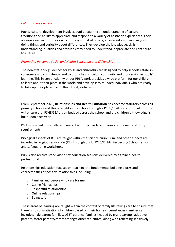#### *Cultural Development*

Pupils' cultural development involves pupils acquiring an understanding of cultural traditions and ability to appreciate and respond to a variety of aesthetic experiences. They acquire a respect for their own culture and that of others, an interest in others' ways of doing things and curiosity about differences. They develop the knowledge, skills, understanding, qualities and attitudes they need to understand, appreciate and contribute to culture.

#### *Promoting Personal, Social and Health Education and Citizenship*

The non-statutory guidelines for PSHE and citizenship are designed to help schools establish coherence and consistency, and to promote curriculum continuity and progression in pupils' learning. This in conjunction with our RRSA work provides a wide platform for our children to learn about their place in the world and develop into rounded individuals who are ready to take up their place in a multi-cultural, global world.

From September 2020, **Relationships and Health Education** has become statutory across all primary schools and this is taught in our school through a PSHE/SEAL spiral curriculum. This will ensure that PSHE/SEAL is embedded across the school and the children's knowledge is built upon each year.

PSHE is studied in six half-term units. Each topic has links to areas of the new statutory requirements.

Biological aspects of RSE are taught within the science curriculum, and other aspects are included in religious education (RE), through our UNCRC/Rights Respecting Schools ethos and safeguarding workshops.

Pupils also receive stand-alone sex education sessions delivered by a trained health professional.

Relationships education focuses on teaching the fundamental building blocks and characteristics of positive relationships including:

- o Families and people who care for me
- o Caring friendships
- o Respectful relationships
- o Online relationships
- o Being safe

These areas of learning are taught within the context of family life taking care to ensure that there is no stigmatisation of children based on their home circumstances (families can include single parent families, LGBT parents, families headed by grandparents, adoptive parents, foster parents/carers amongst other structures) along with reflecting sensitively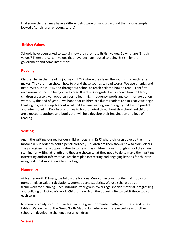that some children may have a different structure of support around them (for example: looked after children or young carers)

#### **British Values**

Schools have been asked to explain how they promote British values. So what are 'British' values? There are certain values that have been attributed to being British, by the government and some institutions.

#### **Reading**

Children begin their reading journey in EYFS where they learn the sounds that each letter makes. They are then shown how to blend these sounds to read words. We use phonics and Read, Write, Inc in EYFS and throughout school to teach children how to read. From first recognising sounds to being able to read fluently. Alongside, being shown how to blend, children are also given opportunities to learn high frequency words and common exception words. By the end of year 2, we hope that children are fluent readers and in Year 2 we begin thinking in greater depth about what children are reading, encouraging children to predict and infer meaning. Reading continues to be promoted throughout the school and children are exposed to authors and books that will help develop their imagination and love of reading.

#### **Writing**

Again the writing journey for our children begins in EYFS where children develop their fine motor skills in order to hold a pencil correctly. Children are then shown how to from letters. They are given many opportunities to write and as children move through school they gain stamina for writing at length and they are shown what they need to do to make their writing interesting and/or informative. Teachers plan interesting and engaging lessons for children using texts that model excellent writing.

#### **Numeracy**

At Nettlesworth Primary, we follow the National Curriculum covering the main topics of: number, place value, calculations, geometry and statistics. We use scholastic as a framework for planning. Each individual year group covers age specific material, progressing and building on last year's work. Children are given the opportunity to revisit these topics each term.

Numeracy is daily for 1 hour with extra time given for mental maths, arithmetic and times tables. We are part of the Great North Maths Hub where we share expertise with other schools in developing challenge for all children.

#### **Science**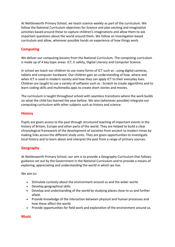At Nettlesworth Primary School, we teach science weekly as part of the curriculum. We follow the National Curriculum objectives for Science and plan exciting and imaginative activities based around these to capture children's imaginations and allow them to ask important questions about the world around them. We follow an investigation based curriculum and allow, wherever possible hands on experience of how things work.

# **Computing**

We deliver our computing lessons from the National Curriculum. The computing curriculum is made up of 4 key topic areas: ICT, E-safety, Digital Literacy and Computer Science.

In school we teach our children to use many forms of ICT such as : using digital cameras, tablets and computer hardware. Our children gain an understanding of how, where and when ICT is used in modern society and how they can apply ICT to their everyday lives. Children are taught to use a variety of software such as : Scratch to create algorithms and to learn coding skills and multimedia apps to create short stories and movies.

The curriculum is taught throughout school with seamless transitions where the work builds on what the child has learned the year before. We also (whenever possible) integrate our computing curriculum with other subjects such as history and science.

#### **History**

Pupils are given access to the past through structured teaching of important events in the history of Britain, Europe and other parts of the world. They are helped to build a clear chronological framework of the development of societies from ancient to modern times by making links across the different study units. They are given opportunities to investigate local history and to learn about and interpret the past from a range of primary sources.

# **Geography**

At Nettlesworth Primary School, our aim is to provide a Geography Curriculum that follows guidance set out by the Government in the National Curriculum and to provide a means of exploring, appreciating and understanding the world in which we live.

We aim to:

- Stimulate curiosity about the environment around us and the wider world.
- Develop geographical skills.
- Develop and understanding of the world by studying places close to us and further afield.
- Provide knowledge of the interaction between physical and human processes and how these affect the world.
- Provide opportunities for field work and exploration of the environment around us.

#### **Music**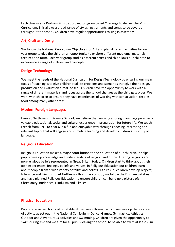Each class uses a Durham Music approved program called Charanga to deliver the Music Curriculum. This allows a broad range of styles, instruments and songs to be covered throughout the school. Children have regular opportunities to sing in assembly.

### **Art, Craft and Design**

We follow the National Curriculum Objectives for Art and plan different activities for each year group to give the children an opportunity to explore different mediums, materials, textures and form. Each year group studies different artists and this allows our children to experience a range of cultures and concepts.

# **Design Technology**

We meet the needs of the National Curriculum for Design Technology by ensuring our main focus of teaching is to give children real life problems and scenarios that give their design, production and evaluation a real life feel. Children have the opportunity to work with a range of different materials and focus across the school changes as the child gets older. We work with children to ensure they have experiences of working with construction, textiles, food among many other areas.

#### **Modern Foreign Languages**

Here at Nettlesworth Primary School, we believe that learning a foreign language provides a valuable educational, social and cultural experience in preparation for future life. We teach French from EYFS to Year 6 in a fun and enjoyable way through choosing interesting and relevant topics that will engage and stimulate learning and develop children's curiosity of language.

#### **Religious Education**

Religious Education makes a major contribution to the education of our children. It helps pupils develop knowledge and understanding of religion and of the differing religious and non-religious beliefs represented in Great Britain today. Children start to think about their own experiences, feelings, beliefs and values. In Religious Education our children learn about people from a wide variety of faiths and beliefs. As a result, children develop respect, tolerance and friendship. At Nettlesworth Primary School, we follow the Durham Syllabus and have planned Religious Education to ensure children can build up a picture of: Christianity, Buddhism, Hinduism and Sikhism.

#### **Physical Education**

Pupils receive two hours of timetable PE per week through which we develop the six areas of activity as set out in the National Curriculum- Dance, Games, Gymnastics, Athletics, Outdoor and Adventurous activities and Swimming. Children are given the opportunity to swim during KS2 and we aim for all pupils leaving the school to be able to swim at least 25m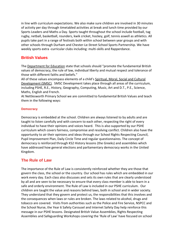in line with curriculum expectations. We also make sure children are involved in 30 minutes of activity per day through timetabled activities at break and lunch time provided by our Sports Leaders and Maths a Day. Sports taught throughout the school include football, tag rugby, netball, basketball, rounders, kwik cricket, hockey, golf, tennis aswell as athletics. All pupils take part in a range of festivals both within school between year groups and with other schools through Durham and Chester-Le-Street School Sports Partnership. We have weekly sports extra -curricular clubs including: multi-skills and Rapperdance.

# **British Values**

The [Department for Education](https://www.gov.uk/government/publications/promoting-fundamental-british-values-through-smsc) state that schools should "promote the fundamental British values of democracy, the rule of law, individual liberty and mutual respect and tolerance of those with different faiths and beliefs."

All of these values encompass elements of a child's [Spiritual, Moral, Social and Cultural](https://www.smscqualitymark.org.uk/what-is-smsc/)  [Development \(SMSC\).](https://www.smscqualitymark.org.uk/what-is-smsc/) SMSC Development takes place through all areas of the curriculum, including PSHE, R.E., History, Geography, Computing, Music, Art and D.T., P.E., Science, Maths, English and French.

At Nettlesworth Primary School we are committed to fundamental British Values and teach them in the following ways:

#### **Democracy**

Democracy is embedded at the school. Children are always listened to by adults and are taught to listen carefully and with concern to each other, respecting the right of every individual to have their opinions and voices heard. This is also supported by our PSHE curriculum which covers fairness, compromise and resolving conflict. Children also have the opportunity to air their opinions and ideas through our School Rights Respecting Council, Pupil Improvement Plan, Daily Circle Time and regular questionnaires. The concept of democracy is reinforced through KS2 History lessons (the Greeks) and assemblies which have addressed how general elections and parliamentary democracy works in the United Kingdom.

# **The Rule of Law**

The importance of the Rule of Law is consistently reinforced whether they are those that govern the class, the school or the country. Our school has rules which are embedded in our work every day. Each class also discusses and sets its own rules that are clearly understood by all and are seen to be necessary to ensure that every class member is able to learn in a safe and orderly environment. The Rule of Law is included in our PSHE curriculum. Our children are taught the value and reasons behind laws, both in school and in wider society. They understand that they govern and protect us, the responsibilities that this involves and the consequences when laws or rules are broken. The laws related to alcohol, drugs and tobacco are covered. Visits from authorities such as the Police and Fire Service, NSPCC and the School Nurse, the Year 6 Safety Carousel and Internet Safety Day help reinforce this message in our PSHE lessons. Designated British Value Assemblies, Rights Respecting Assemblies and Safeguarding Workshops covering the 'Rule of Law' have focused on school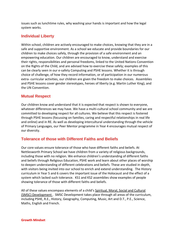issues such as lunchtime rules, why washing your hands is important and how the legal system works.

# **Individual Liberty**

Within school, children are actively encouraged to make choices, knowing that they are in a safe and supportive environment. As a school we educate and provide boundaries for our children to make choices safely, through the provision of a safe environment and an empowering education. Our children are encouraged to know, understand and exercise their rights, responsibilities and personal freedoms, linked to the United Nations Convention on the Rights of the Child, and are advised how to exercise these safely; examples of this can be clearly seen in our e-safety Computing and PSHE lessons. Whether it is through choice of challenge, of how they record information, or of participation in our numerous extra- curricular activities, our children are given the freedom to make choices. Assemblies and PSHE lessons cover gender stereotypes, heroes of liberty (e.g. Martin Luther King), and the UN Convention.

# **Mutual Respect**

Our children know and understand that it is expected that respect is shown to everyone, whatever differences we may have. We have a multi-cultural school community and we are committed to developing respect for all cultures. We believe that this respect is fostered through PSHE lessons (focussing on families, caring and respectful relationships in real life and online) and in RE. As well as developing intercultural understanding through the vehicle of Primary Languages, our Peer Mentor programme in Year 4 encourages mutual respect of our diversity.

# **Tolerance of those with Different Faiths and Beliefs**

Our core values ensure tolerance of those who have different faiths and beliefs. At Nettlesworth Primary School we have children from a variety of religious backgrounds, including those with no religion. We enhance children's understanding of different faiths and beliefs through Religious Education, PSHE work and learn about other places of worship to deepen understanding of different celebrations and beliefs. These are studied in depth, with visitors being invited into our school to enrich and extend understanding. The History curriculum in Year 5 and 6 covers the important issue of the Holocaust and the effect of a system which lacked such tolerance. KS1 and KS2 assemblies show examples of people showing tolerance of those with different faiths and beliefs.

All of these values encompass elements of a child's [Spiritual, Moral, Social and Cultural](https://www.smscqualitymark.org.uk/what-is-smsc/)  [\(SMSC\) Development](https://www.smscqualitymark.org.uk/what-is-smsc/) . SMSC Development takes place through all areas of the curriculum, including PSHE, R.E., History, Geography, Computing, Music, Art and D.T., P.E., Science, Maths, English and French.

**Growth Mindset**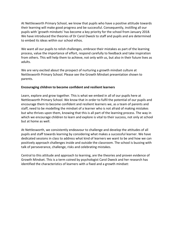At Nettlesworth Primary School, we know that pupils who have a positive attitude towards their learning will make good progress and be successful. Consequently, instilling all our pupils with 'growth mindsets' has become a key priority for the school from January 2018. We have introduced the theories of Dr Carol Dweck to staff and pupils and are determined to embed its ideas within our school ethos.

We want all our pupils to relish challenges, embrace their mistakes as part of the learning process, value the importance of effort, respond carefully to feedback and take inspiration from others. This will help them to achieve, not only with us, but also in their future lives as adults.

We are very excited about the prospect of nurturing a growth mindset culture at Nettlesworth Primary School. Please see the Growth Mindset presentation shown to parents.

#### **Encouraging children to become confident and resilient learners**

Learn, explore and grow together. This is what we embed in all of our pupils here at Nettlesworth Primary School. We know that in order to fulfil the potential of our pupils and encourage them to become confident and resilient learners we, as a team of parents and staff, need to be modelling the mindset of a learner who is not afraid of making mistakes but who thrives upon them, knowing that this is all part of the learning process. The way in which we encourage children to learn and explore is vital to their success, not only at school but at home as well.

At Nettlesworth, we consistently endeavour to challenge and develop the attitudes of all pupils and staff towards learning by considering what makes a successful learner. We have dedicated sessions in class to address what kind of learners we want to be and how we can positively approach challenges inside and outside the classroom. The school is buzzing with talk of perseverance, challenge, risks and celebrating mistakes.

Central to this attitude and approach to learning, are the theories and proven evidence of Growth Mindset. This is a term coined by psychologist Carol Dweck and her research has identified the characteristics of learners with a fixed and a growth mindset: